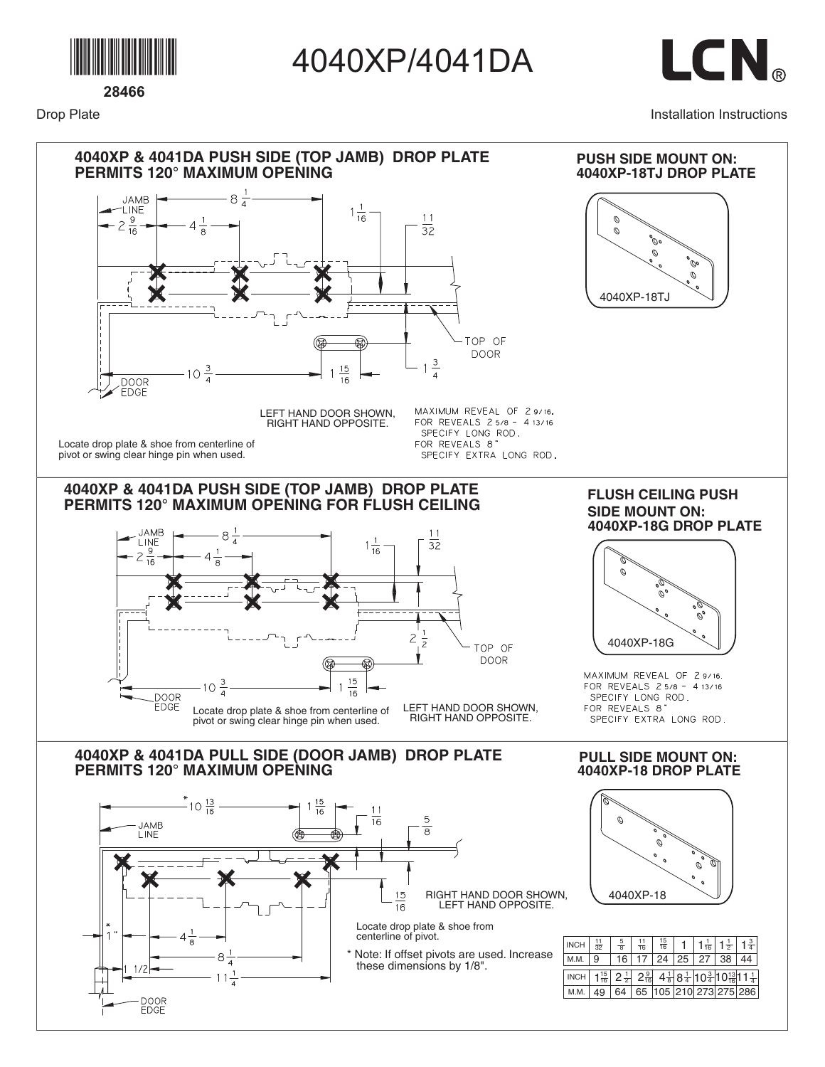

Drop Plate

4040XP/4041DA



Installation Instructions

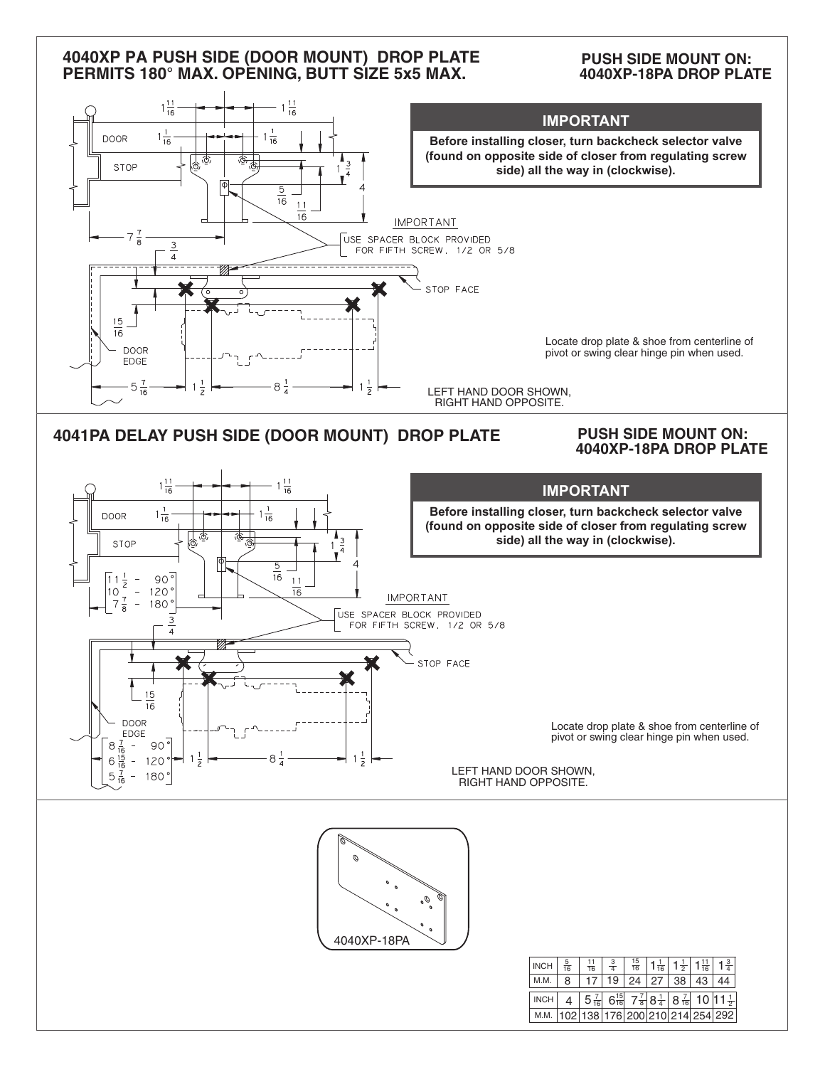## **4040XP PA PUSH SIDE (DOOR MOUNT) DROP PLATE PERMITS 180° MAX. OPENING, BUTT SIZE 5x5 MAX.**

## **PUSH SIDE MOUNT ON: 4040XP-18PA DROP PLATE**

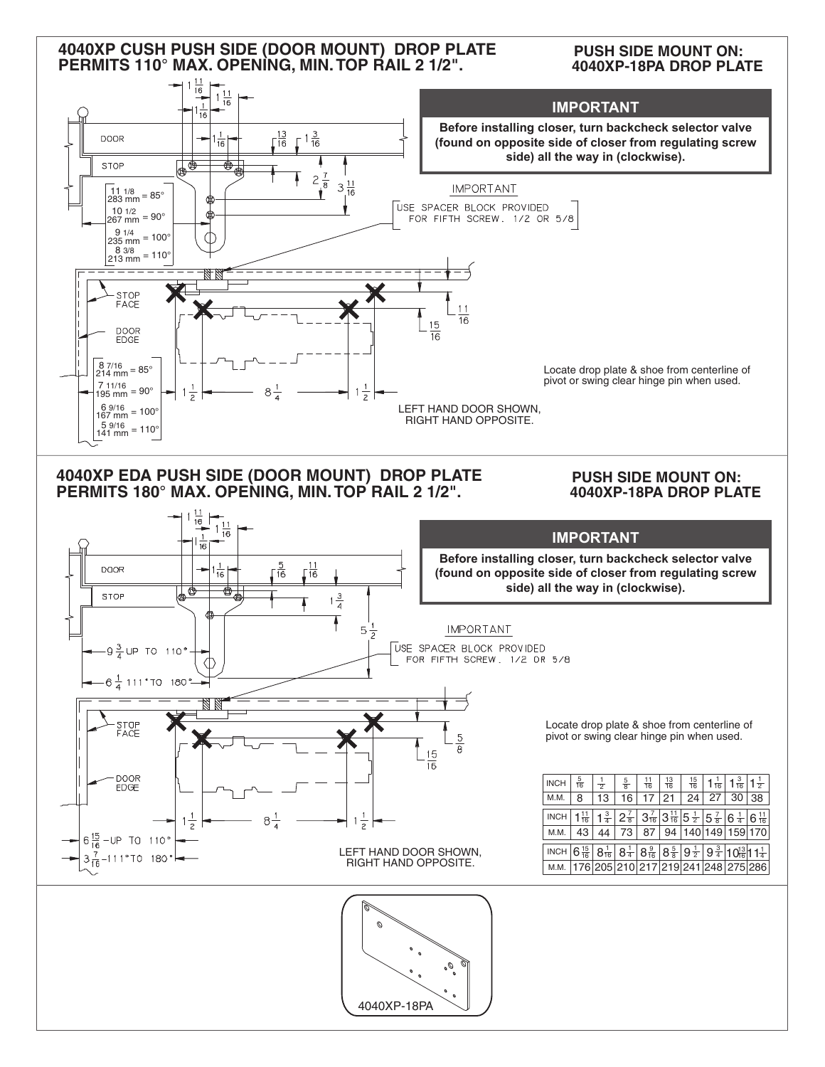## **4040XP CUSH PUSH SIDE (DOOR MOUNT) DROP PLATE PERMITS 110° MAX. OPENING, MIN.TOP RAIL 2 1/2".**

**PUSH SIDE MOUNT ON: 4040XP-18PA DROP PLATE**